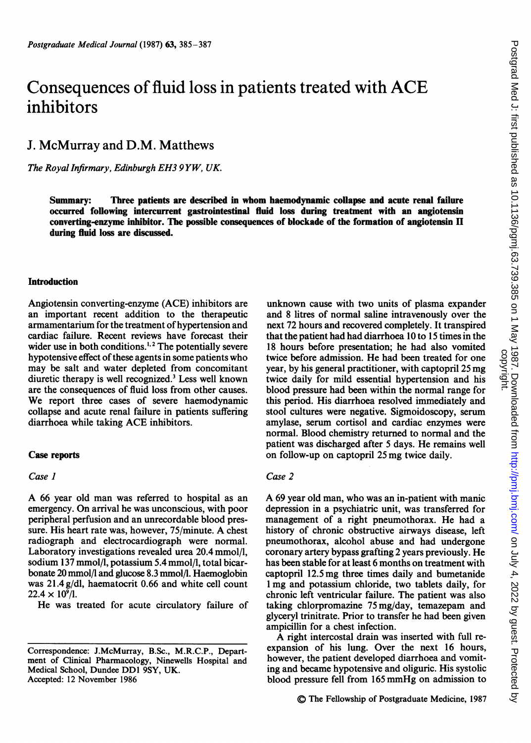# Consequences of fluid loss in patients treated with ACE inhibitors

# J. McMurray and D.M. Matthews

The Royal Infirmary, Edinburgh EH3 9 YW, UK.

Summary: Three patients are described in whom haemodynamic collapse and acute renal failure occurred following intercurrent gastrointestinal fluid loss during treatment with an angiotensin converting-enzyme inhibitor. The possible consequences of blockade of the formation of angiotensin II during fluid loss are discussed.

# Introduction

Angiotensin converting-enzyme (ACE) inhibitors are an important recent addition to the therapeutic armamentarium for the treatment of hypertension and cardiac failure. Recent reviews have forecast their wider use in both conditions.<sup>1,2</sup> The potentially severe hypotensive effect of these agents in some patients who may be salt and water depleted from concomitant diuretic therapy is well recognized.3 Less well known are the consequences of fluid loss from other causes. We report three cases of severe haemodynamic collapse and acute renal failure in patients suffering diarrhoea while taking ACE inhibitors.

# Case reports

# Case I

A <sup>66</sup> year old man was referred to hospital as an emergency. On arrival he was unconscious, with poor peripheral perfusion and an unrecordable blood pressure. His heart rate was, however, 75/minute. A chest radiograph and electrocardiograph were normal. Laboratory investigations revealed urea 20.4 mmol/l, sodium 137 mmol/l, potassium 5.4 mmol/l, total bicarbonate 20 mmol/l and glucose 8.3 mmol/l. Haemoglobin was 21.4 g/dl, haematocrit 0.66 and white cell count  $22.4 \times 10^{9}$ /l.

He was treated for acute circulatory failure of

unknown cause with two units of plasma expander and 8 litres of normal saline intravenously over the next 72 hours and recovered completely. It transpired that the patient had had diarrhoea 10 to 15 times in the 18 hours before presentation; he had also vomited twice before admission. He had been treated for one year, by his general practitioner, with captopril 25 mg twice daily for mild essential hypertension and his blood pressure had been within the normal range for this period. His diarrhoea resolved immediately and stool cultures were negative. Sigmoidoscopy, serum amylase, serum cortisol and cardiac enzymes were normal. Blood chemistry returned to normal and the patient was discharged after <sup>5</sup> days. He remains well on follow-up on captopril 25 mg twice daily.

#### Case 2

A <sup>69</sup> year old man, who was an in-patient with manic depression in a psychiatric unit, was transferred for management of a right pneumothorax. He had a history of chronic obstructive airways disease, left pneumothorax, alcohol abuse and had undergone coronary artery bypass grafting 2 years previously. He has been stable for at least 6 months on treatment with captopril 12.5mg three times daily and bumetanide <sup>1</sup> mg and potassium chloride, two tablets daily, for chronic left ventricular failure. The patient was also taking chlorpromazine 75 mg/day, temazepam and glyceryl trinitrate. Prior to transfer he had been given ampicillin for a chest infection.

A right intercostal drain was inserted with full reexpansion of his lung. Over the next 16 hours, however, the patient developed diarrhoea and vomiting and became hypotensive and oliguric. His systolic blood pressure fell from <sup>165</sup> mmHg on admission to

Correspondence: J.McMurray, B.Sc., M.R.C.P., Department of Clinical Pharmacology, Ninewells Hospital and Medical School, Dundee DDI 9SY, UK. Accepted: 12 November 1986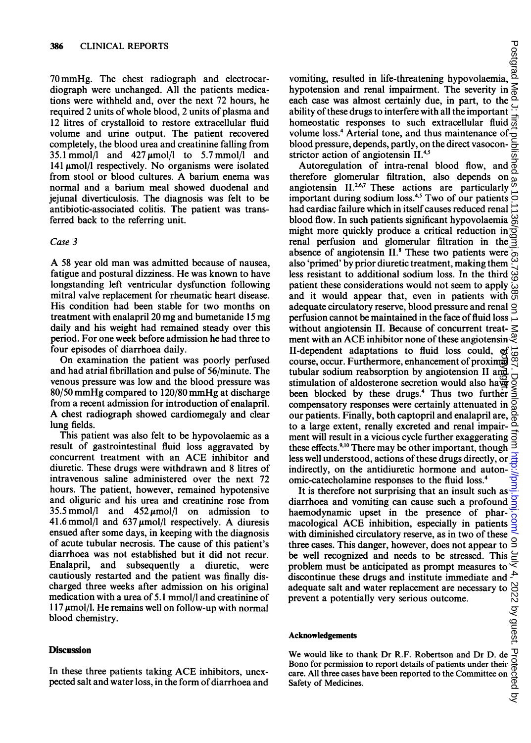70 mmHg. The chest radiograph and electrocardiograph were unchanged. All the patients medications were withheld and, over the next 72 hours, he required 2 units of whole blood, 2 units of plasma and 12 litres of crystalloid to restore extracellular fluid volume and urine output. The patient recovered completely, the blood urea and creatinine falling from 35.1 mmol/l and  $427 \mu$ mol/l to 5.7 mmol/l and 141  $\mu$ mol/l respectively. No organisms were isolated from stool or blood cultures. A barium enema was normal and a barium meal showed duodenal and jejunal diverticulosis. The diagnosis was felt to be antibiotic-associated colitis. The patient was transferred back to the referring unit.

# Case 3

A <sup>58</sup> year old man was admitted because of nausea, fatigue and postural dizziness. He was known to have longstanding left ventricular dysfunction following mitral valve replacement for rheumatic heart disease. His condition had been stable for two months on treatment with enalapril 20 mg and bumetanide <sup>15</sup> mg daily and his weight had remained steady over this period. For one week before admission he had three to four episodes of diarrhoea daily.

On examination the patient was poorly perfused and had atrial fibrillation and pulse of 56/minute. The venous pressure was low and the blood pressure was 80/50 mmHg compared to 120/80 mmHg at discharge from a recent admission for introduction of enalapril. A chest radiograph showed cardiomegaly and clear lung fields.

This patient was also felt to be hypovolaemic as a result of gastrointestinal fluid loss aggravated by concurrent treatment with an ACE inhibitor and diuretic. These drugs were withdrawn and 8 litres of intravenous saline administered over the next 72 hours. The patient, however, remained hypotensive and oliguric and his urea and creatinine rose from 35.5 mmol/l and  $452 \mu$ mol/l on admission to 41.6 mmol/l and  $637 \mu$ mol/l respectively. A diuresis ensued after some days, in keeping with the diagnosis of acute tubular necrosis. The cause of this patient's diarrhoea was not established but it did not recur. Enalapril, and subsequently a diuretic, were cautiously restarted and the patient was finally discharged three weeks after admission on his original medication with a urea of 5.1 mmol/l and creatinine of  $117 \mu$ mol/l. He remains well on follow-up with normal blood chemistry.

### **Discussion**

In these three patients taking ACE inhibitors, unexpected salt and water loss, in the form of diarrhoea and vomiting, resulted in life-threatening hypovolaemia, by<br>
womiting, resulted in life-threatening hypovolaemia,<br>
hypotension and renal impairment. The severity in  $\leq$ <br>
each case was almost certainly due, in part, to the a<br>
ability of these drugs to interfere with all the imp each case was almost certainly due, in part, to the ability of these drugs to interfere with all the important homeostatic responses to such extracellular fluid volume loss.4 Arterial tone, and thus maintenance of blood pressure, depends, partly, on the direct vasoconstrictor action of angiotensin II.<sup>4,5</sup>

Autoregulation of intra-renal blood flow, and  $\frac{3}{2}$ therefore glomerular filtration, also depends on angiotensin II.<sup>2,6,7</sup> These actions are particularly important during sodium loss.<sup>4,5</sup> Two of our patients  $\vec{\odot}$ had cardiac failure which in itself causes reduced renal blood flow. In such patients significant hypovolaemia might more quickly produce a critical reduction in renal perfusion and glomerular filtration in the absence of angiotensin II.<sup>8</sup> These two patients were  $\overline{\omega}$ <br>also 'primed' by prior diuratic treatment making them  $\omega$ also 'primed' by prior diuretic treatment, making them less resistant to additional sodium loss. In the third patient these considerations would not seem to apply and it would appear that, even in patients with adequate circulatory reserve, blood pressure and renal  $\subseteq$ perfusion cannot be maintained in the face of fluid loss  $\overline{\phantom{a}}$ without angiotensin II. Because of concurrent treatment with an ACE inhibitor none of these angiotensin  $\frac{D}{C}$ II-dependent adaptations to fluid loss could, of  $\frac{1}{\infty}$  course occur. Furthermore enhancement of proximal  $\infty$ course, occur. Furthermore, enhancement of proximal tubular sodium reabsorption by angiotension II and stimulation of aldosterone secretion would also have been blocked by these drugs.<sup>4</sup> Thus two further compensatory responses were certainly attenuated in our patients. Finally, both captopril and enalapril are, to a large extent, renally excreted and renal impairment will result in a vicious cycle further exaggerating  $\vec{5}$ these effects.<sup>9,10</sup> There may be other important, though less well understood, actions of these drugs directly, or indirectly, on the antidiuretic hormone and autonomic-catecholamine responses to the fluid loss.4 copyright.

It is therefore not surprising that an insult such as diarrhoea and vomiting can cause such a profound haemodynamic upset in the presence of pharmacological ACE inhibition, especially in patients with diminished circulatory reserve, as in two of these three cases. This danger, however, does not appear to be well recognized and needs to be stressed. This problem must be anticipated as prompt measures to discontinue these drugs and institute immediate and prevent a potentially very serious outcome.

#### Acknowledgements

adequate salt and water replacement are necessary to We would like to thank Dr R.F. Robertson and Dr D. de Bono for permission to report details of patients under their care. All three cases have been reported to the Committee on Safety of Medicines.